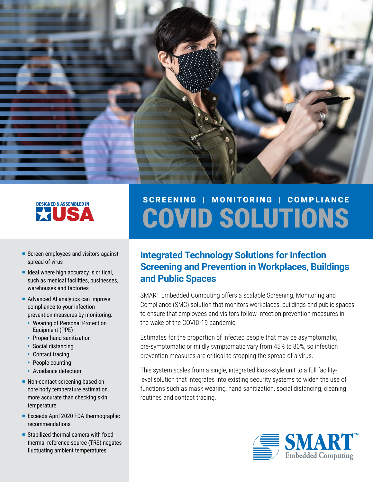



- **Screen employees and visitors against** spread of virus
- $\blacksquare$  Ideal where high accuracy is critical, such as medical facilities, businesses, warehouses and factories
- Advanced AI analytics can improve compliance to your infection prevention measures by monitoring:
	- Wearing of Personal Protection Equipment (PPE)
	- Proper hand sanitization
	- Social distancing
	- Contact tracing
	- People counting
	- Avoidance detection
- Non-contact screening based on core body temperature estimation, more accurate than checking skin temperature
- **Exceeds April 2020 FDA thermographic** recommendations
- $\blacksquare$  Stabilized thermal camera with fixed thermal reference source (TRS) negates fluctuating ambient temperatures

# SCREENING | MONITORING | COMPLIANCE COVID SOLUTIONS

## **Integrated Technology Solutions for Infection Screening and Prevention in Workplaces, Buildings and Public Spaces**

SMART Embedded Computing offers a scalable Screening, Monitoring and Compliance (SMC) solution that monitors workplaces, buildings and public spaces to ensure that employees and visitors follow infection prevention measures in the wake of the COVID-19 pandemic.

Estimates for the proportion of infected people that may be asymptomatic, pre-symptomatic or mildly symptomatic vary from 45% to 80%, so infection prevention measures are critical to stopping the spread of a virus.

This system scales from a single, integrated kiosk-style unit to a full facilitylevel solution that integrates into existing security systems to widen the use of functions such as mask wearing, hand sanitization, social distancing, cleaning routines and contact tracing.

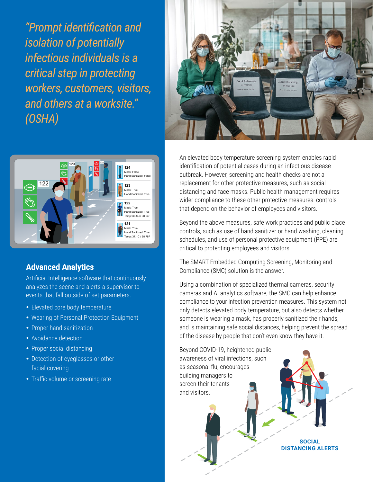*"Prompt identification and isolation of potentially infectious individuals is a critical step in protecting workers, customers, visitors, and others at a worksite." (OSHA)*





## **Advanced Analytics**

Artificial Intelligence software that continuously analyzes the scene and alerts a supervisor to events that fall outside of set parameters.

- Elevated core body temperature
- Wearing of Personal Protection Equipment
- Proper hand sanitization
- Avoidance detection
- Proper social distancing
- Detection of eyeglasses or other facial covering
- Traffic volume or screening rate

An elevated body temperature screening system enables rapid identification of potential cases during an infectious disease outbreak. However, screening and health checks are not a replacement for other protective measures, such as social distancing and face masks. Public health management requires wider compliance to these other protective measures: controls that depend on the behavior of employees and visitors.

Beyond the above measures, safe work practices and public place controls, such as use of hand sanitizer or hand washing, cleaning schedules, and use of personal protective equipment (PPE) are critical to protecting employees and visitors.

The SMART Embedded Computing Screening, Monitoring and Compliance (SMC) solution is the answer.

Using a combination of specialized thermal cameras, security cameras and AI analytics software, the SMC can help enhance compliance to your infection prevention measures. This system not only detects elevated body temperature, but also detects whether someone is wearing a mask, has properly sanitized their hands, and is maintaining safe social distances, helping prevent the spread of the disease by people that don't even know they have it.

Beyond COVID-19, heightened public awareness of viral infections, such as seasonal flu, encourages building managers to screen their tenants and visitors.

> **SOCIAL DISTANCING ALERTS**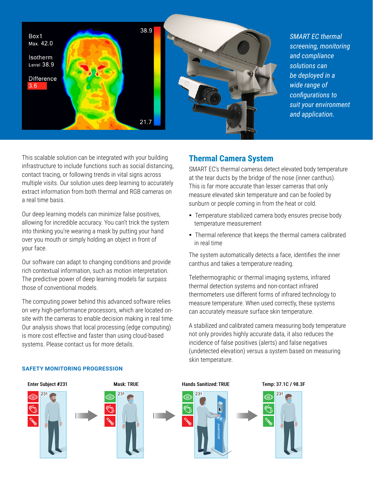

*SMART EC thermal screening, monitoring and compliance solutions can be deployed in a wide range of configurations to suit your environment and application.*

This scalable solution can be integrated with your building infrastructure to include functions such as social distancing, contact tracing, or following trends in vital signs across multiple visits. Our solution uses deep learning to accurately extract information from both thermal and RGB cameras on a real time basis.

Our deep learning models can minimize false positives, allowing for incredible accuracy. You can't trick the system into thinking you're wearing a mask by putting your hand over you mouth or simply holding an object in front of your face.

Our software can adapt to changing conditions and provide rich contextual information, such as motion interpretation. The predictive power of deep learning models far surpass those of conventional models.

The computing power behind this advanced software relies on very high-performance processors, which are located onsite with the cameras to enable decision making in real time. Our analysis shows that local processing (edge computing) is more cost effective and faster than using cloud-based systems. Please contact us for more details.

## **Thermal Camera System**

SMART EC's thermal cameras detect elevated body temperature at the tear ducts by the bridge of the nose (inner canthus). This is far more accurate than lesser cameras that only measure elevated skin temperature and can be fooled by sunburn or people coming in from the heat or cold.

- Temperature stabilized camera body ensures precise body temperature measurement
- Thermal reference that keeps the thermal camera calibrated in real time

The system automatically detects a face, identifies the inner canthus and takes a temperature reading.

Telethermographic or thermal imaging systems, infrared thermal detection systems and non-contact infrared thermometers use different forms of infrared technology to measure temperature. When used correctly, these systems can accurately measure surface skin temperature.

A stabilized and calibrated camera measuring body temperature not only provides highly accurate data, it also reduces the incidence of false positives (alerts) and false negatives (undetected elevation) versus a system based on measuring skin temperature.

#### **SAFETY MONITORING PROGRESSION**